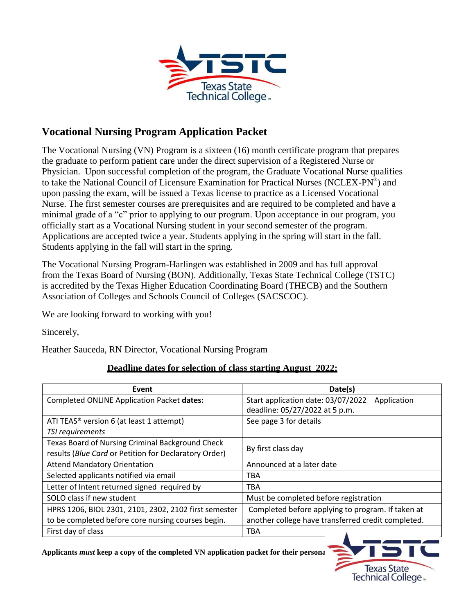

# **Vocational Nursing Program Application Packet**

The Vocational Nursing (VN) Program is a sixteen (16) month certificate program that prepares the graduate to perform patient care under the direct supervision of a Registered Nurse or Physician. Upon successful completion of the program, the Graduate Vocational Nurse qualifies to take the National Council of Licensure Examination for Practical Nurses (NCLEX-PN® ) and upon passing the exam, will be issued a Texas license to practice as a Licensed Vocational Nurse. The first semester courses are prerequisites and are required to be completed and have a minimal grade of a "c" prior to applying to our program. Upon acceptance in our program, you officially start as a Vocational Nursing student in your second semester of the program. Applications are accepted twice a year. Students applying in the spring will start in the fall. Students applying in the fall will start in the spring.

The Vocational Nursing Program-Harlingen was established in 2009 and has full approval from the Texas Board of Nursing (BON). Additionally, Texas State Technical College (TSTC) is accredited by the Texas Higher Education Coordinating Board (THECB) and the Southern Association of Colleges and Schools Council of Colleges (SACSCOC).

We are looking forward to working with you!

Sincerely,

Heather Sauceda, RN Director, Vocational Nursing Program

### **Deadline dates for selection of class starting August 2022:**

| Event                                                   | Date(s)                                            |
|---------------------------------------------------------|----------------------------------------------------|
| Completed ONLINE Application Packet dates:              | Start application date: 03/07/2022<br>Application  |
|                                                         | deadline: 05/27/2022 at 5 p.m.                     |
| ATI TEAS <sup>®</sup> version 6 (at least 1 attempt)    | See page 3 for details                             |
| TSI requirements                                        |                                                    |
| <b>Texas Board of Nursing Criminal Background Check</b> |                                                    |
| results (Blue Card or Petition for Declaratory Order)   | By first class day                                 |
| <b>Attend Mandatory Orientation</b>                     | Announced at a later date                          |
| Selected applicants notified via email                  | <b>TBA</b>                                         |
| Letter of Intent returned signed required by            | <b>TBA</b>                                         |
| SOLO class if new student                               | Must be completed before registration              |
| HPRS 1206, BIOL 2301, 2101, 2302, 2102 first semester   | Completed before applying to program. If taken at  |
| to be completed before core nursing courses begin.      | another college have transferred credit completed. |
| First day of class                                      | <b>TBA</b>                                         |

Applicants *must* keep a copy of the completed VN application packet for their personal

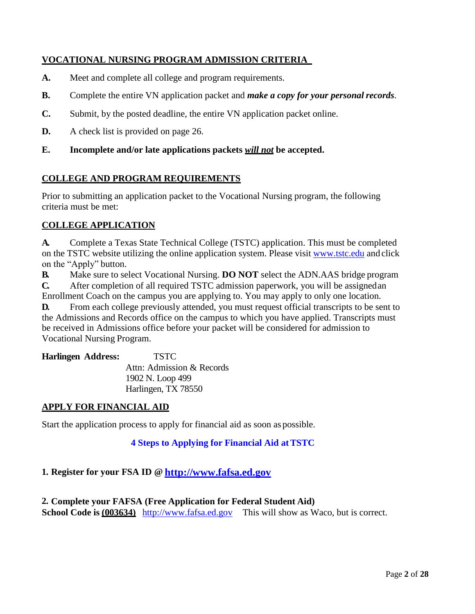## **VOCATIONAL NURSING PROGRAM ADMISSION CRITERIA**

- **A.** Meet and complete all college and program requirements.
- **B.** Complete the entire VN application packet and *make a copy for your personal records*.
- **C.** Submit, by the posted deadline, the entire VN application packet online.
- **D.** A check list is provided on page 26.
- **E. Incomplete and/or late applications packets** *will not* **be accepted.**

#### **COLLEGE AND PROGRAM REQUIREMENTS**

Prior to submitting an application packet to the Vocational Nursing program, the following criteria must be met:

#### **COLLEGE APPLICATION**

**A.** Complete a Texas State Technical College (TSTC) application. This must be completed on the TSTC website utilizing the online application system. Please visit [www.tstc.edu](http://www.tstc.edu/westtexas) and click on the "Apply" button.

**B.** Make sure to select Vocational Nursing. **DO NOT** select the ADN.AAS bridge program **C.** After completion of all required TSTC admission paperwork, you will be assignedan Enrollment Coach on the campus you are applying to. You may apply to only one location.

**D.** From each college previously attended, you must request official transcripts to be sent to the Admissions and Records office on the campus to which you have applied. Transcripts must be received in Admissions office before your packet will be considered for admission to Vocational Nursing Program.

| <b>Harlingen Address:</b> | <b>TSTC</b>               |
|---------------------------|---------------------------|
|                           | Attn: Admission & Records |
|                           | 1902 N. Loop 499          |
|                           | Harlingen, TX 78550       |

#### **APPLY FOR FINANCIAL AID**

Start the application process to apply for financial aid as soon as possible.

### **4 Steps to Applying for Financial Aid atTSTC**

# **1. Register for your FSA ID @ [http://www.fafsa.ed.gov](http://www.fafsa.ed.gov/)**

**2. Complete your FAFSA (Free Application for Federal Student Aid) School Code is** (003634) [http://www.fafsa.ed.gov](http://www.fafsa.ed.gov/) This will show as Waco, but is correct.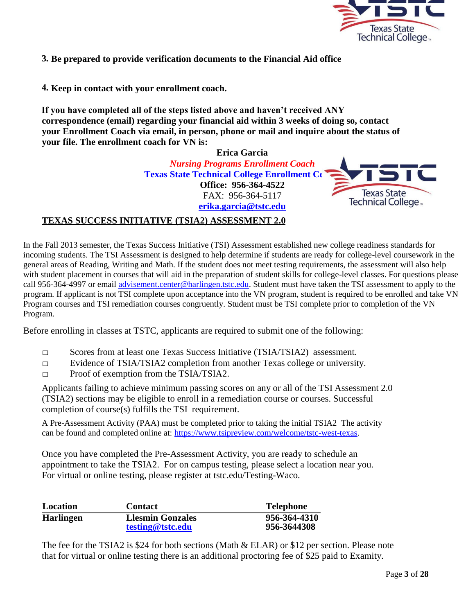

**3. Be prepared to provide verification documents to the Financial Aid office**

**4. Keep in contact with your enrollment coach.**

**If you have completed all of the steps listed above and haven't received ANY correspondence (email) regarding your financial aid within 3 weeks of doing so, contact your Enrollment Coach via email, in person, phone or mail and inquire about the status of your file. The enrollment coach for VN is:**

> **Erica Garcia** *Nursing Programs Enrollment Coach* **Texas State Technical College Enrollment Ce Office: 956-364-4522** FAX: 956-364-5117 **[erika.garcia@tstc.edu](mailto:erika.garcia@tstc.edu)**



#### **TEXAS SUCCESS INITIATIVE (TSIA2) ASSESSMENT 2.0**

In the Fall 2013 semester, the Texas Success Initiative (TSI) Assessment established new college readiness standards for incoming students. The TSI Assessment is designed to help determine if students are ready for college-level coursework in the general areas of Reading, Writing and Math. If the student does not meet testing requirements, the assessment will also help with student placement in courses that will aid in the preparation of student skills for college-level classes. For questions please call 956-364-4997 or email [advisement.center@harlingen.tstc.edu.](mailto:advisement.center@harlingen.tstc.edu) Student must have taken the TSI assessment to apply to the program. If applicant is not TSI complete upon acceptance into the VN program, student is required to be enrolled and take VN Program courses and TSI remediation courses congruently. Student must be TSI complete prior to completion of the VN Program.

Before enrolling in classes at TSTC, applicants are required to submit one of the following:

- $\Box$  Scores from at least one Texas Success Initiative (TSIA/TSIA2) assessment.
- □ Evidence of TSIA/TSIA2 completion from another Texas college or university.
- □ Proof of exemption from the TSIA/TSIA2.

Applicants failing to achieve minimum passing scores on any or all of the TSI Assessment 2.0 (TSIA2) sections may be eligible to enroll in a remediation course or courses. Successful completion of course(s) fulfills the TSI requirement.

A Pre-Assessment Activity (PAA) must be completed prior to taking the initial TSIA2 The activity can be found and completed online at[: https://www.tsipreview.com/welcome/tstc-west-texas.](https://www.tsipreview.com/welcome/tstc-west-texas)

Once you have completed the Pre-Assessment Activity, you are ready to schedule an appointment to take the TSIA2. For on campus testing, please select a location near you. For virtual or online testing, please register at tstc.edu/Testing-Waco.

| Location         | <b>Contact</b>                              | Telephone                   |
|------------------|---------------------------------------------|-----------------------------|
| <b>Harlingen</b> | <b>Llesmin Gonzales</b><br>testing@tstc.edu | 956-364-4310<br>956-3644308 |

The fee for the TSIA2 is \$24 for both sections (Math & ELAR) or \$12 per section. Please note that for virtual or online testing there is an additional proctoring fee of \$25 paid to Examity.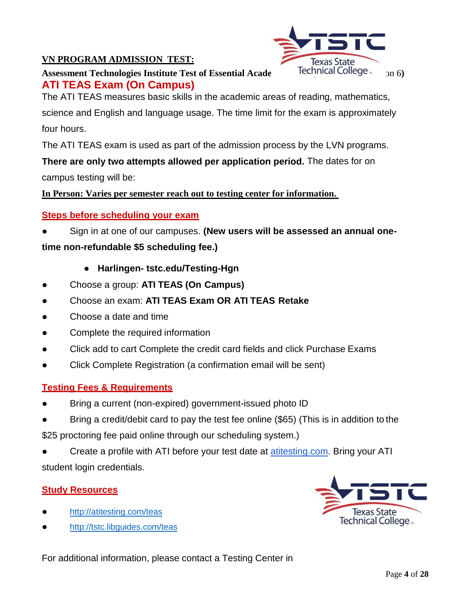# **VN PROGRAM ADMISSION TEST:**



**Assessment Technologies Institute Test of Essential Acade** Technical College <sub>bon</sub> 6 **ATI TEAS Exam (On Campus)**

The ATI TEAS measures basic skills in the academic areas of reading, mathematics,

science and English and language usage. The time limit for the exam is approximately four hours.

The ATI TEAS exam is used as part of the admission process by the LVN programs.

**There are only two attempts allowed per application period.** The dates for on campus testing will be:

**In Person: Varies per semester reach out to testing center for information.** 

### **Steps before scheduling your exam**

Sign in at one of our campuses. **(New users will be assessed an annual one-**

**time non-refundable \$5 scheduling fee.)**

- **Harlingen- tstc.edu/Testing-Hgn**
- Choose a group: **ATI TEAS (On Campus)**
- Choose an exam: **ATI TEAS Exam OR ATI TEAS Retake**
- Choose a date and time
- Complete the required information
- Click add to cart Complete the credit card fields and click Purchase Exams
- Click Complete Registration (a confirmation email will be sent)

### **Testing Fees & Requirements**

- Bring a current (non-expired) government-issued photo ID
- Bring a credit/debit card to pay the test fee online (\$65) (This is in addition to the \$25 proctoring fee paid online through our scheduling system.)
- Create a profile with ATI before your test date at **[atitesting.com.](http://atitesting.com/)** Bring your ATI student login credentials.

### **Study Resources**

- <http://atitesting.com/teas>
- <http://tstc.libguides.com/teas>



For additional information, please contact a Testing Center in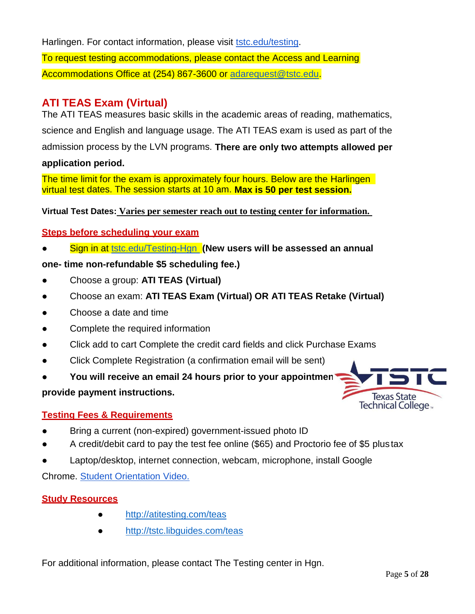Harlingen. For contact information, please visit **tstc.edu/testing**. To request testing accommodations, please contact the Access and Learning Accommodations Office at (254) 867-3600 or [adarequest@tstc.edu.](mailto:adarequest@tstc.edu)

# **ATI TEAS Exam (Virtual)**

The ATI TEAS measures basic skills in the academic areas of reading, mathematics, science and English and language usage. The ATI TEAS exam is used as part of the admission process by the LVN programs. **There are only two attempts allowed per** 

## **application period.**

The time limit for the exam is approximately four hours. Below are the Harlingen virtual test dates. The session starts at 10 am. **Max is 50 per test session.**

**Virtual Test Dates: Varies per semester reach out to testing center for information.** 

# **Steps before scheduling your exam**

**Sign in at [tstc.edu/Testing-Hgn](http://tstc.edu/Testing-Swtr) (New users will be assessed an annual** 

# **one- time non-refundable \$5 scheduling fee.)**

- Choose a group: **ATI TEAS (Virtual)**
- Choose an exam: **ATI TEAS Exam (Virtual) OR ATI TEAS Retake (Virtual)**
- Choose a date and time
- Complete the required information
- Click add to cart Complete the credit card fields and click Purchase Exams
- Click Complete Registration (a confirmation email will be sent)
- You will receive an email 24 hours prior to your appointmen<sup>t</sup>

# **provide payment instructions.**

# **Testing Fees & Requirements**

- Bring a current (non-expired) government-issued photo ID
- A credit/debit card to pay the test fee online (\$65) and Proctorio fee of \$5 plustax
- Laptop/desktop, internet connection, webcam, microphone, install Google

Chrome. [Student Orientation](https://link.videoplatform.limelight.com/media/?mediaId=1a864799c9c84deb9e5a0e2ab20e270f&width=540&height=321&playerForm=LVPPlayer&embedMode=html&htmlPlayerFilename=limelightjs-player.js) Video.

# **Study Resources**

- <http://atitesting.com/teas>
- <http://tstc.libguides.com/teas>

For additional information, please contact The Testing center in Hgn.

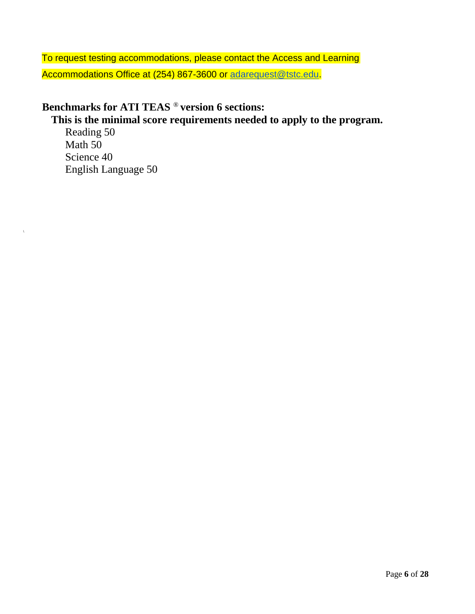To request testing accommodations, please contact the Access and Learning Accommodations Office at (254) 867-3600 or [adarequest@tstc.edu.](mailto:adarequest@tstc.edu)

# **Benchmarks for ATI TEAS** ® **version 6 sections:**

# **This is the minimal score requirements needed to apply to the program.**

Reading 50 Math 50 Science 40 English Language 50

 $\overline{a}$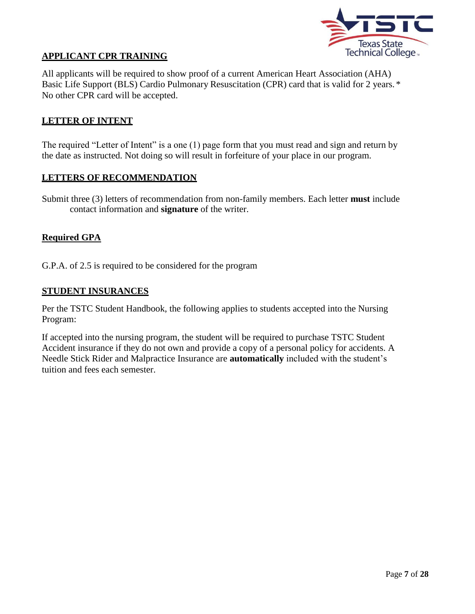

#### **APPLICANT CPR TRAINING**

All applicants will be required to show proof of a current American Heart Association (AHA) Basic Life Support (BLS) Cardio Pulmonary Resuscitation (CPR) card that is valid for 2 years. \* No other CPR card will be accepted.

#### **LETTER OF INTENT**

The required "Letter of Intent" is a one (1) page form that you must read and sign and return by the date as instructed. Not doing so will result in forfeiture of your place in our program.

#### **LETTERS OF RECOMMENDATION**

Submit three (3) letters of recommendation from non-family members. Each letter **must** include contact information and **signature** of the writer.

#### **Required GPA**

G.P.A. of 2.5 is required to be considered for the program

#### **STUDENT INSURANCES**

Per the TSTC Student Handbook, the following applies to students accepted into the Nursing Program:

If accepted into the nursing program, the student will be required to purchase TSTC Student Accident insurance if they do not own and provide a copy of a personal policy for accidents. A Needle Stick Rider and Malpractice Insurance are **automatically** included with the student's tuition and fees each semester.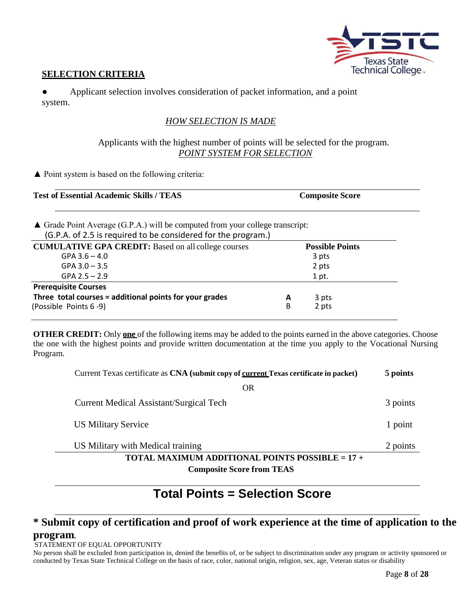

#### **SELECTION CRITERIA**

Applicant selection involves consideration of packet information, and a point system.

#### *HOW SELECTION IS MADE*

#### Applicants with the highest number of points will be selected for the program. *POINT SYSTEM FOR SELECTION*

▲ Point system is based on the following criteria:

| <b>Test of Essential Academic Skills / TEAS</b> | <b>Composite Score</b> |
|-------------------------------------------------|------------------------|
|                                                 |                        |

▲ Grade Point Average (G.P.A.) will be computed from your college transcript: (G.P.A. of 2.5 is required to be considered for the program.)

| . .                                                        |   |                        |  |
|------------------------------------------------------------|---|------------------------|--|
| <b>CUMULATIVE GPA CREDIT:</b> Based on all college courses |   | <b>Possible Points</b> |  |
| $GPA$ 3.6 $-$ 4.0                                          |   | 3 pts                  |  |
| $GPA$ 3.0 $-$ 3.5                                          |   | 2 pts                  |  |
| $GPA$ 2.5 $-$ 2.9                                          |   | 1 pt.                  |  |
| <b>Prerequisite Courses</b>                                |   |                        |  |
| Three total courses = additional points for your grades    | A | 3 pts                  |  |
| (Possible Points 6-9)                                      | B | 2 pts                  |  |
|                                                            |   |                        |  |

**OTHER CREDIT:** Only **one** of the following items may be added to the points earned in the above categories. Choose the one with the highest points and provide written documentation at the time you apply to the Vocational Nursing Program.

| Current Texas certificate as CNA (submit copy of current Texas certificate in packet) | 5 points |
|---------------------------------------------------------------------------------------|----------|
| <b>OR</b>                                                                             |          |
| <b>Current Medical Assistant/Surgical Tech</b>                                        | 3 points |
| <b>US Military Service</b>                                                            | 1 point  |
| US Military with Medical training                                                     | 2 points |
| TOTAL MAXIMUM ADDITIONAL POINTS POSSIBLE = $17 +$                                     |          |
| <b>Composite Score from TEAS</b>                                                      |          |

# **Total Points = Selection Score**

# **\* Submit copy of certification and proof of work experience at the time of application to the program.**

#### STATEMENT OF EQUAL OPPORTUNITY

No person shall be excluded from participation in, denied the benefits of, or be subject to discrimination under any program or activity sponsored or conducted by Texas State Technical College on the basis of race, color, national origin, religion, sex, age, Veteran status or disability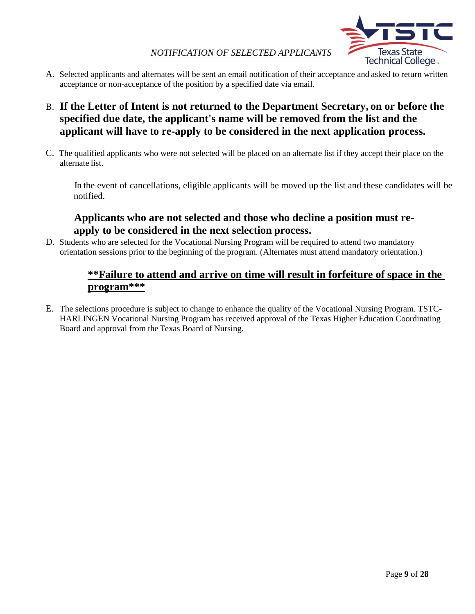#### *NOTIFICATION OF SELECTED APPLICANTS*



- A. Selected applicants and alternates will be sent an email notification of their acceptance and asked to return written acceptance or non-acceptance of the position by a specified date via email.
- B. **If the Letter of Intent is not returned to the Department Secretary, on or before the specified due date, the applicant's name will be removed from the list and the applicant will have to re-apply to be considered in the next application process.**
- C. The qualified applicants who were not selected will be placed on an alternate list if they accept their place on the alternate list.

 In the event of cancellations, eligible applicants will be moved up the list and these candidates will be notified.

## **Applicants who are not selected and those who decline a position must reapply to be considered in the next selection process.**

D. Students who are selected for the Vocational Nursing Program will be required to attend two mandatory orientation sessions prior to the beginning of the program. (Alternates must attend mandatory orientation.)

# **\*\*Failure to attend and arrive on time will result in forfeiture of space in the program\*\*\***

E. The selections procedure is subject to change to enhance the quality of the Vocational Nursing Program. TSTC-HARLINGEN Vocational Nursing Program has received approval of the Texas Higher Education Coordinating Board and approval from the Texas Board of Nursing.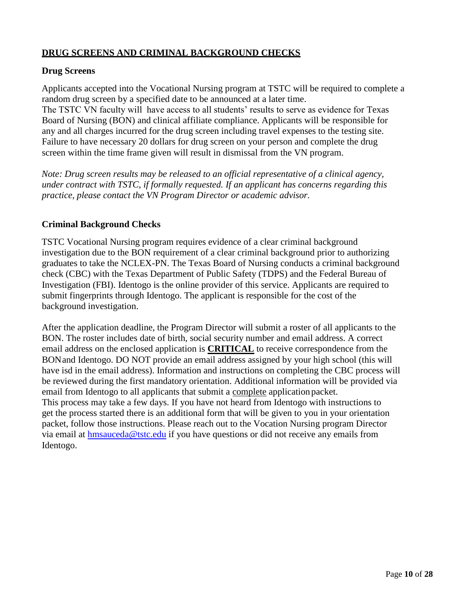### **DRUG SCREENS AND CRIMINAL BACKGROUND CHECKS**

#### **Drug Screens**

Applicants accepted into the Vocational Nursing program at TSTC will be required to complete a random drug screen by a specified date to be announced at a later time.

The TSTC VN faculty will have access to all students' results to serve as evidence for Texas Board of Nursing (BON) and clinical affiliate compliance. Applicants will be responsible for any and all charges incurred for the drug screen including travel expenses to the testing site. Failure to have necessary 20 dollars for drug screen on your person and complete the drug screen within the time frame given will result in dismissal from the VN program.

*Note: Drug screen results may be released to an official representative of a clinical agency, under contract with TSTC, if formally requested. If an applicant has concerns regarding this practice, please contact the VN Program Director or academic advisor.*

#### **Criminal Background Checks**

TSTC Vocational Nursing program requires evidence of a clear criminal background investigation due to the BON requirement of a clear criminal background prior to authorizing graduates to take the NCLEX-PN. The Texas Board of Nursing conducts a criminal background check (CBC) with the Texas Department of Public Safety (TDPS) and the Federal Bureau of Investigation (FBI). Identogo is the online provider of this service. Applicants are required to submit fingerprints through Identogo. The applicant is responsible for the cost of the background investigation.

After the application deadline, the Program Director will submit a roster of all applicants to the BON. The roster includes date of birth, social security number and email address. A correct email address on the enclosed application is **CRITICAL** to receive correspondence from the BONand Identogo. DO NOT provide an email address assigned by your high school (this will have isd in the email address). Information and instructions on completing the CBC process will be reviewed during the first mandatory orientation. Additional information will be provided via email from Identogo to all applicants that submit a complete applicationpacket. This process may take a few days. If you have not heard from Identogo with instructions to get the process started there is an additional form that will be given to you in your orientation packet, follow those instructions. Please reach out to the Vocation Nursing program Director via email at [hmsauceda@tstc.edu](mailto:hmsauceda@tstc.edu) if you have questions or did not receive any emails from Identogo.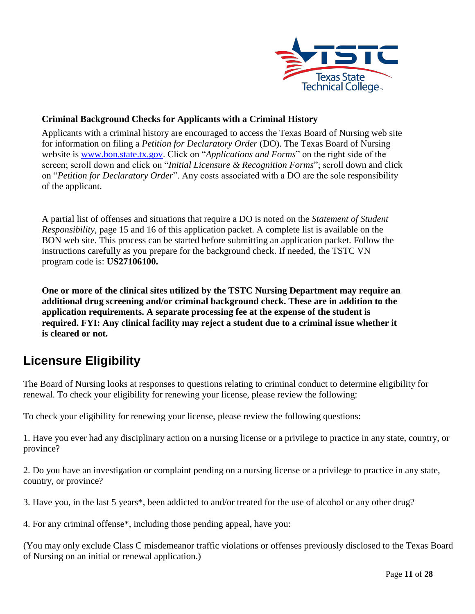

### **Criminal Background Checks for Applicants with a Criminal History**

Applicants with a criminal history are encouraged to access the Texas Board of Nursing web site for information on filing a *Petition for Declaratory Order* (DO). The Texas Board of Nursing website is [www.bon.state.tx.gov.](http://www.bon.state.tx.gov/) Click on "*Applications and Forms*" on the right side of the screen; scroll down and click on "*Initial Licensure & Recognition Forms*"; scroll down and click on "*Petition for Declaratory Order*". Any costs associated with a DO are the sole responsibility of the applicant.

A partial list of offenses and situations that require a DO is noted on the *Statement of Student Responsibility*, page 15 and 16 of this application packet. A complete list is available on the BON web site. This process can be started before submitting an application packet. Follow the instructions carefully as you prepare for the background check. If needed, the TSTC VN program code is: **US27106100.**

**One or more of the clinical sites utilized by the TSTC Nursing Department may require an additional drug screening and/or criminal background check. These are in addition to the application requirements. A separate processing fee at the expense of the student is required. FYI: Any clinical facility may reject a student due to a criminal issue whether it is cleared or not.**

# **Licensure Eligibility**

The Board of Nursing looks at responses to questions relating to criminal conduct to determine eligibility for renewal. To check your eligibility for renewing your license, please review the following:

To check your eligibility for renewing your license, please review the following questions:

1. Have you ever had any disciplinary action on a nursing license or a privilege to practice in any state, country, or province?

2. Do you have an investigation or complaint pending on a nursing license or a privilege to practice in any state, country, or province?

3. Have you, in the last 5 years\*, been addicted to and/or treated for the use of alcohol or any other drug?

4. For any criminal offense\*, including those pending appeal, have you:

(You may only exclude Class C misdemeanor traffic violations or offenses previously disclosed to the Texas Board of Nursing on an initial or renewal application.)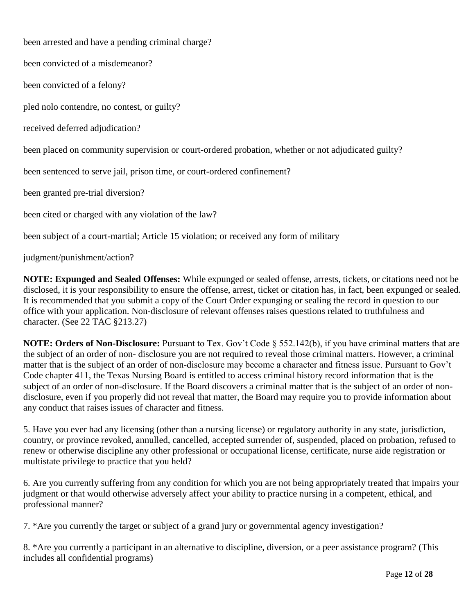been arrested and have a pending criminal charge? been convicted of a misdemeanor? been convicted of a felony? pled nolo contendre, no contest, or guilty? received deferred adjudication? been placed on community supervision or court-ordered probation, whether or not adjudicated guilty? been sentenced to serve jail, prison time, or court-ordered confinement? been granted pre-trial diversion? been cited or charged with any violation of the law? been subject of a court-martial; Article 15 violation; or received any form of military judgment/punishment/action?

**NOTE: Expunged and Sealed Offenses:** While expunged or sealed offense, arrests, tickets, or citations need not be disclosed, it is your responsibility to ensure the offense, arrest, ticket or citation has, in fact, been expunged or sealed. It is recommended that you submit a copy of the Court Order expunging or sealing the record in question to our office with your application. Non-disclosure of relevant offenses raises questions related to truthfulness and character. (See 22 TAC §213.27)

**NOTE: Orders of Non-Disclosure:** Pursuant to Tex. Gov't Code § 552.142(b), if you have criminal matters that are the subject of an order of non- disclosure you are not required to reveal those criminal matters. However, a criminal matter that is the subject of an order of non-disclosure may become a character and fitness issue. Pursuant to Gov't Code chapter 411, the Texas Nursing Board is entitled to access criminal history record information that is the subject of an order of non-disclosure. If the Board discovers a criminal matter that is the subject of an order of nondisclosure, even if you properly did not reveal that matter, the Board may require you to provide information about any conduct that raises issues of character and fitness.

5. Have you ever had any licensing (other than a nursing license) or regulatory authority in any state, jurisdiction, country, or province revoked, annulled, cancelled, accepted surrender of, suspended, placed on probation, refused to renew or otherwise discipline any other professional or occupational license, certificate, nurse aide registration or multistate privilege to practice that you held?

6. Are you currently suffering from any condition for which you are not being appropriately treated that impairs your judgment or that would otherwise adversely affect your ability to practice nursing in a competent, ethical, and professional manner?

7. \*Are you currently the target or subject of a grand jury or governmental agency investigation?

8. \*Are you currently a participant in an alternative to discipline, diversion, or a peer assistance program? (This includes all confidential programs)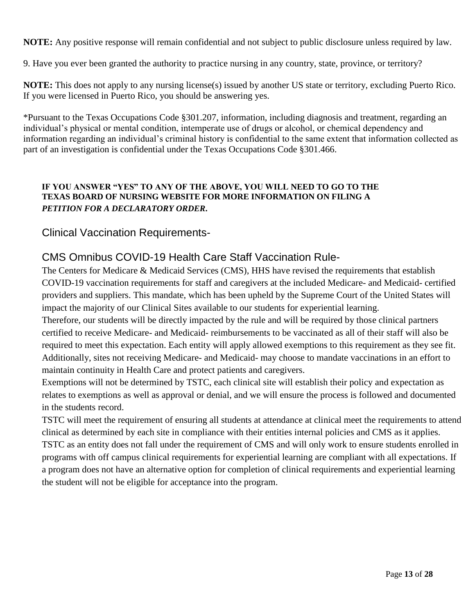**NOTE:** Any positive response will remain confidential and not subject to public disclosure unless required by law.

9. Have you ever been granted the authority to practice nursing in any country, state, province, or territory?

**NOTE:** This does not apply to any nursing license(s) issued by another US state or territory, excluding Puerto Rico. If you were licensed in Puerto Rico, you should be answering yes.

\*Pursuant to the Texas Occupations Code §301.207, information, including diagnosis and treatment, regarding an individual's physical or mental condition, intemperate use of drugs or alcohol, or chemical dependency and information regarding an individual's criminal history is confidential to the same extent that information collected as part of an investigation is confidential under the Texas Occupations Code §301.466.

#### **IF YOU ANSWER "YES" TO ANY OF THE ABOVE, YOU WILL NEED TO GO TO THE TEXAS BOARD OF NURSING WEBSITE FOR MORE INFORMATION ON FILING A** *PETITION FOR A DECLARATORY ORDER***.**

### Clinical Vaccination Requirements-

# CMS Omnibus COVID-19 Health Care Staff Vaccination Rule-

The Centers for Medicare & Medicaid Services (CMS), HHS have revised the requirements that establish COVID-19 vaccination requirements for staff and caregivers at the included Medicare- and Medicaid- certified providers and suppliers. This mandate, which has been upheld by the Supreme Court of the United States will impact the majority of our Clinical Sites available to our students for experiential learning.

Therefore, our students will be directly impacted by the rule and will be required by those clinical partners certified to receive Medicare- and Medicaid- reimbursements to be vaccinated as all of their staff will also be required to meet this expectation. Each entity will apply allowed exemptions to this requirement as they see fit. Additionally, sites not receiving Medicare- and Medicaid- may choose to mandate vaccinations in an effort to maintain continuity in Health Care and protect patients and caregivers.

Exemptions will not be determined by TSTC, each clinical site will establish their policy and expectation as relates to exemptions as well as approval or denial, and we will ensure the process is followed and documented in the students record.

TSTC will meet the requirement of ensuring all students at attendance at clinical meet the requirements to attend clinical as determined by each site in compliance with their entities internal policies and CMS as it applies. TSTC as an entity does not fall under the requirement of CMS and will only work to ensure students enrolled in programs with off campus clinical requirements for experiential learning are compliant with all expectations. If a program does not have an alternative option for completion of clinical requirements and experiential learning the student will not be eligible for acceptance into the program.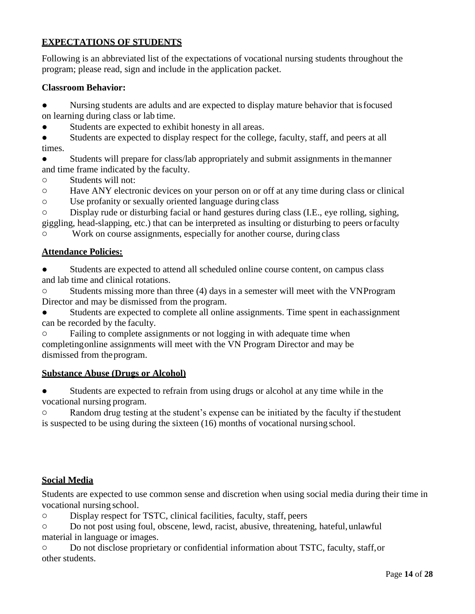# **EXPECTATIONS OF STUDENTS**

Following is an abbreviated list of the expectations of vocational nursing students throughout the program; please read, sign and include in the application packet.

### **Classroom Behavior:**

● Nursing students are adults and are expected to display mature behavior that isfocused on learning during class or lab time.

Students are expected to exhibit honesty in all areas.

• Students are expected to display respect for the college, faculty, staff, and peers at all times.

Students will prepare for class/lab appropriately and submit assignments in the manner and time frame indicated by the faculty.

o Students will not:

o Have ANY electronic devices on your person on or off at any time during class or clinical

o Use profanity or sexually oriented language during class

o Display rude or disturbing facial or hand gestures during class (I.E., eye rolling, sighing, giggling, head-slapping, etc.) that can be interpreted as insulting or disturbing to peers orfaculty

o Work on course assignments, especially for another course, during class

### **Attendance Policies:**

● Students are expected to attend all scheduled online course content, on campus class and lab time and clinical rotations.

Students missing more than three (4) days in a semester will meet with the VNProgram Director and may be dismissed from the program.

Students are expected to complete all online assignments. Time spent in eachassignment can be recorded by the faculty.

Failing to complete assignments or not logging in with adequate time when completingonline assignments will meet with the VN Program Director and may be dismissed from theprogram.

### **Substance Abuse (Drugs or Alcohol)**

Students are expected to refrain from using drugs or alcohol at any time while in the vocational nursing program.

o Random drug testing at the student's expense can be initiated by the faculty if thestudent is suspected to be using during the sixteen (16) months of vocational nursing school.

### **Social Media**

Students are expected to use common sense and discretion when using social media during their time in vocational nursing school.

o Display respect for TSTC, clinical facilities, faculty, staff, peers

o Do not post using foul, obscene, lewd, racist, abusive, threatening, hateful, unlawful material in language or images.

Do not disclose proprietary or confidential information about TSTC, faculty, staff, or other students.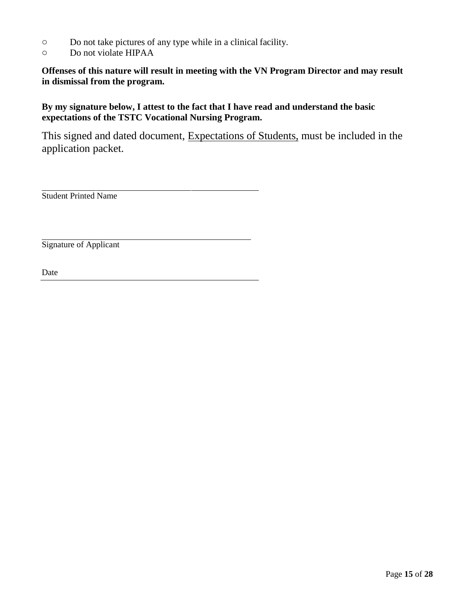- o Do not take pictures of any type while in a clinical facility.
- o Do not violate HIPAA

**Offenses of this nature will result in meeting with the VN Program Director and may result in dismissal from the program.**

**By my signature below, I attest to the fact that I have read and understand the basic expectations of the TSTC Vocational Nursing Program.**

This signed and dated document, Expectations of Students, must be included in the application packet.

Student Printed Name

Signature of Applicant

Date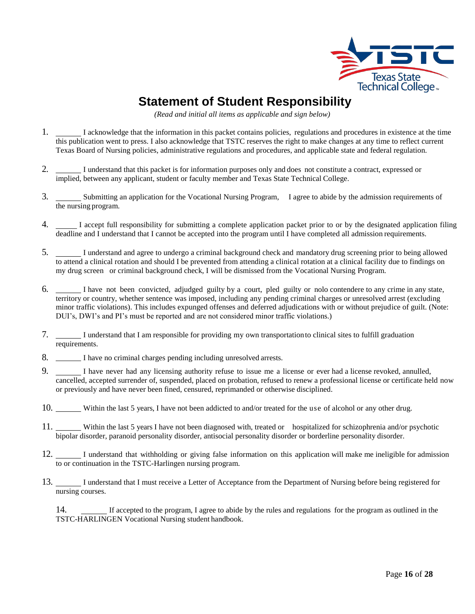

# **Statement of Student Responsibility**

*(Read and initial all items as applicable and sign below)*

- 1.  $\Box$  I acknowledge that the information in this packet contains policies, regulations and procedures in existence at the time this publication went to press. I also acknowledge that TSTC reserves the right to make changes at any time to reflect current Texas Board of Nursing policies, administrative regulations and procedures, and applicable state and federal regulation.
- 2. I understand that this packet is for information purposes only and does not constitute a contract, expressed or implied, between any applicant, student or faculty member and Texas State Technical College.
- 3. Submitting an application for the Vocational Nursing Program, I agree to abide by the admission requirements of the nursing program.
- 4. I accept full responsibility for submitting a complete application packet prior to or by the designated application filing deadline and I understand that I cannot be accepted into the program until I have completed all admission requirements.
- 5. I understand and agree to undergo a criminal background check and mandatory drug screening prior to being allowed to attend a clinical rotation and should I be prevented from attending a clinical rotation at a clinical facility due to findings on my drug screen or criminal background check, I will be dismissed from the Vocational Nursing Program.
- 6. I have not been convicted, adjudged guilty by a court, pled guilty or nolo contendere to any crime in any state, territory or country, whether sentence was imposed, including any pending criminal charges or unresolved arrest (excluding minor traffic violations). This includes expunged offenses and deferred adjudications with or without prejudice of guilt. (Note: DUI's, DWI's and PI's must be reported and are not considered minor traffic violations.)
- 7. I understand that I am responsible for providing my own transportationto clinical sites to fulfill graduation requirements.
- 8. I have no criminal charges pending including unresolved arrests.
- 9. I have never had any licensing authority refuse to issue me a license or ever had a license revoked, annulled, cancelled, accepted surrender of, suspended, placed on probation, refused to renew a professional license or certificate held now or previously and have never been fined, censured, reprimanded or otherwise disciplined.
- 10. Within the last 5 years, I have not been addicted to and/or treated for the use of alcohol or any other drug.
- 11. Within the last 5 years I have not been diagnosed with, treated or hospitalized for schizophrenia and/or psychotic bipolar disorder, paranoid personality disorder, antisocial personality disorder or borderline personality disorder.
- 12. I understand that withholding or giving false information on this application will make me ineligible for admission to or continuation in the TSTC-Harlingen nursing program.
- 13. I understand that I must receive a Letter of Acceptance from the Department of Nursing before being registered for nursing courses.

14. If accepted to the program, I agree to abide by the rules and regulations for the program as outlined in the TSTC-HARLINGEN Vocational Nursing student handbook.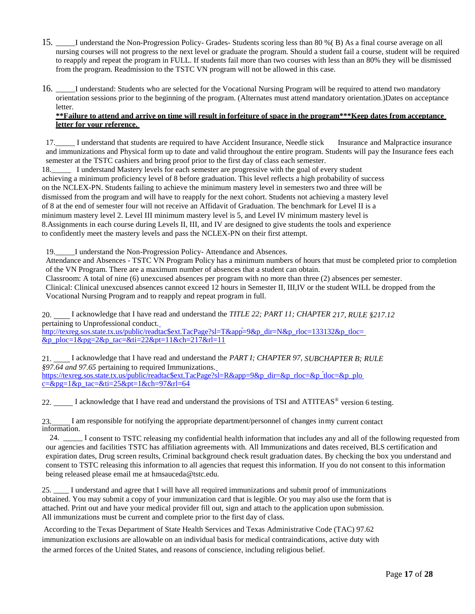- 15. \_\_\_\_\_I understand the Non-Progression Policy- Grades- Students scoring less than 80 %( B) As a final course average on all nursing courses will not progress to the next level or graduate the program. Should a student fail a course, student will be required to reapply and repeat the program in FULL. If students fail more than two courses with less than an 80% they will be dismissed from the program. Readmission to the TSTC VN program will not be allowed in this case.
- 16. \_\_\_\_\_I understand: Students who are selected for the Vocational Nursing Program will be required to attend two mandatory orientation sessions prior to the beginning of the program. (Alternates must attend mandatory orientation.)Dates on acceptance letter.

#### **\*\*Failure to attend and arrive on time will result in forfeiture of space in the program\*\*\*Keep dates from acceptance letter for your reference.**

17.\_\_\_\_\_ I understand that students are required to have Accident Insurance, Needle stick Insurance and Malpractice insurance and immunizations and Physical form up to date and valid throughout the entire program. Students will pay the Insurance fees each semester at the TSTC cashiers and bring proof prior to the first day of class each semester.

18.\_\_\_\_\_ I understand Mastery levels for each semester are progressive with the goal of every student achieving a minimum proficiency level of 8 before graduation. This level reflects a high probability of success on the NCLEX-PN. Students failing to achieve the minimum mastery level in semesters two and three will be dismissed from the program and will have to reapply for the next cohort. Students not achieving a mastery level of 8 at the end of semester four will not receive an Affidavit of Graduation. The benchmark for Level II is a minimum mastery level 2. Level III minimum mastery level is 5, and Level IV minimum mastery level is 8.Assignments in each course during Levels II, III, and IV are designed to give students the tools and experience to confidently meet the mastery levels and pass the NCLEX-PN on their first attempt.

19. I understand the Non-Progression Policy- Attendance and Absences.

Attendance and Absences - TSTC VN Program Policy has a minimum numbers of hours that must be completed prior to completion of the VN Program. There are a maximum number of absences that a student can obtain.

Classroom: A total of nine (6) unexcused absences per program with no more than three (2) absences per semester.

Clinical: Clinical unexcused absences cannot exceed 12 hours in Semester II, III,IV or the student WILL be dropped from the Vocational Nursing Program and to reapply and repeat program in full.

20. I acknowledge that I have read and understand the *TITLE 22; PART 11; CHAPTER 217, RULE §217.12*  pertaining to Unprofessional conduct. [http://texreg.sos.state.tx.us/public/readtac\\$ext.TacPage?sl=T&app=9&p\\_dir=N&p\\_rloc=133132&p\\_tloc=](http://texreg.sos.state.tx.us/public/readtac%24ext.TacPage?sl=T&app=9&p_dir=N&p_rloc=133132&p_tloc&p_ploc=1&pg=2&p_tac&ti=22&pt=11&ch=217&rl=11)

 $&p_p$  ploc= $1&p_p$ = $2&p_p$ \_tac= $&t$ ti= $22&p_t=11&c_h=217&r_l=11$ 

21. I acknowledge that I have read and understand the *PART I; CHAPTER 97, SUBCHAPTER B; RULE §97.64 and 97.65* pertaining to required Immunization[s.](https://texreg.sos.state.tx.us/public/readtac%24ext.TacPage?sl=R&app=9&p_dir&p_rloc&p_tloc&p_ploc&pg=1&p_tac&ti=25&pt=1&ch=97&rl=64) [https://texreg.sos.state.tx.us/public/readtac\\$ext.TacPage?sl=R&app=9&p\\_dir=&p\\_rloc=&p\\_tloc=&p\\_plo](https://texreg.sos.state.tx.us/public/readtac%24ext.TacPage?sl=R&app=9&p_dir&p_rloc&p_tloc&p_ploc&pg=1&p_tac&ti=25&pt=1&ch=97&rl=64)  $c = \&pg = 1 \&p$  tac= $\&t = 25 \&pt = 1 \&ch = 97 \&r = 64$ 

22. \_\_\_\_\_ I acknowledge that I have read and understand the provisions of TSI and ATITEAS<sup>®</sup> version 6 testing.

23. I am responsible for notifying the appropriate department/personnel of changes inmy current contact information.

24. \_\_\_\_\_I consent to TSTC releasing my confidential health information that includes any and all of the following requested from our agencies and facilities TSTC has affiliation agreements with. All Immunizations and dates received, BLS certification and expiration dates, Drug screen results, Criminal background check result graduation dates. By checking the box you understand and consent to TSTC releasing this information to all agencies that request this information. If you do not consent to this information being released please email me at hmsauceda@tstc.edu.

25. \_\_\_\_ I understand and agree that I will have all required immunizations and submit proof of immunizations obtained. You may submit a copy of your immunization card that is legible. Or you may also use the form that is attached. Print out and have your medical provider fill out, sign and attach to the application upon submission. All immunizations must be current and complete prior to the first day of class.

According to the Texas Department of State Health Services and Texas Administrative Code (TAC) 97.62 immunization exclusions are allowable on an individual basis for medical contraindications, active duty with the armed forces of the United States, and reasons of conscience, including religious belief.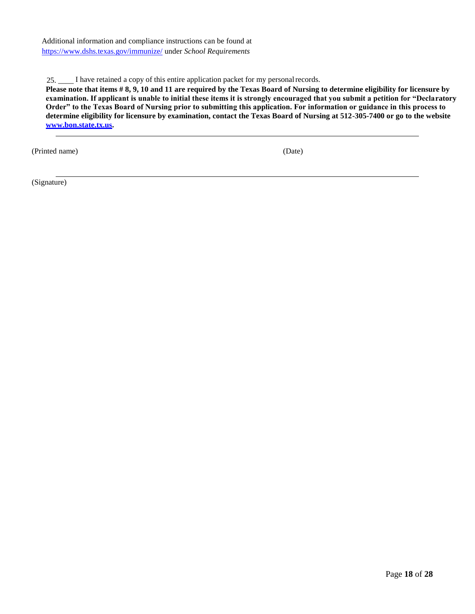Additional information and compliance instructions can be found at <https://www.dshs.texas.gov/immunize/> under *School Requirements*

25. \_\_\_\_ I have retained a copy of this entire application packet for my personalrecords.

**Please note that items # 8, 9, 10 and 11 are required by the Texas Board of Nursing to determine eligibility for licensure by examination. If applicant is unable to initial these items it is strongly encouraged that you submit a petition for "Declaratory Order" to the Texas Board of Nursing prior to submitting this application. For information or guidance in this process to determine eligibility for licensure by examination, contact the Texas Board of Nursing at 512-305-7400 or go to the website [www.bon.state.tx.us.](http://www.bon.state.tx.us/)**

(Printed name) (Date)

(Signature)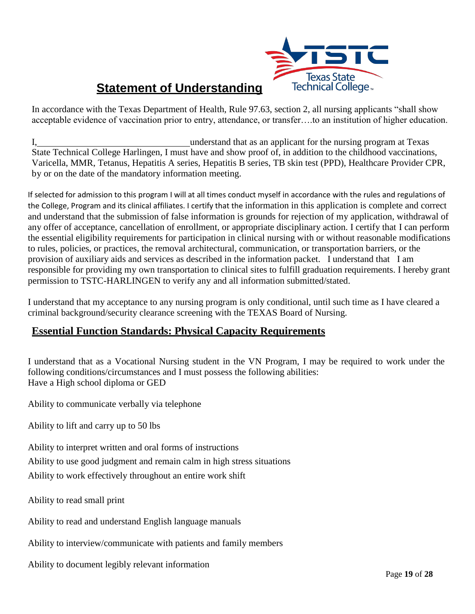

# **Statement of Understanding**

In accordance with the Texas Department of Health, Rule 97.63, section 2, all nursing applicants "shall show acceptable evidence of vaccination prior to entry, attendance, or transfer….to an institution of higher education.

I, understand that as an applicant for the nursing program at Texas State Technical College Harlingen, I must have and show proof of, in addition to the childhood vaccinations, Varicella, MMR, Tetanus, Hepatitis A series, Hepatitis B series, TB skin test (PPD), Healthcare Provider CPR, by or on the date of the mandatory information meeting.

If selected for admission to this program I will at all times conduct myself in accordance with the rules and regulations of the College, Program and its clinical affiliates. I certify that the information in this application is complete and correct and understand that the submission of false information is grounds for rejection of my application, withdrawal of any offer of acceptance, cancellation of enrollment, or appropriate disciplinary action. I certify that I can perform the essential eligibility requirements for participation in clinical nursing with or without reasonable modifications to rules, policies, or practices, the removal architectural, communication, or transportation barriers, or the provision of auxiliary aids and services as described in the information packet. I understand that I am responsible for providing my own transportation to clinical sites to fulfill graduation requirements. I hereby grant permission to TSTC-HARLINGEN to verify any and all information submitted/stated.

I understand that my acceptance to any nursing program is only conditional, until such time as I have cleared a criminal background/security clearance screening with the TEXAS Board of Nursing.

# **Essential Function Standards: Physical Capacity Requirements**

I understand that as a Vocational Nursing student in the VN Program, I may be required to work under the following conditions/circumstances and I must possess the following abilities: Have a High school diploma or GED

Ability to communicate verbally via telephone

Ability to lift and carry up to 50 lbs

Ability to interpret written and oral forms of instructions

Ability to use good judgment and remain calm in high stress situations

Ability to work effectively throughout an entire work shift

Ability to read small print

Ability to read and understand English language manuals

Ability to interview/communicate with patients and family members

Ability to document legibly relevant information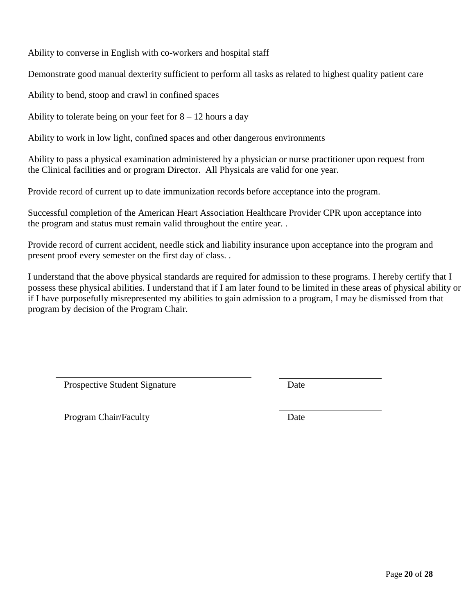Ability to converse in English with co-workers and hospital staff

Demonstrate good manual dexterity sufficient to perform all tasks as related to highest quality patient care

Ability to bend, stoop and crawl in confined spaces

Ability to tolerate being on your feet for  $8 - 12$  hours a day

Ability to work in low light, confined spaces and other dangerous environments

Ability to pass a physical examination administered by a physician or nurse practitioner upon request from the Clinical facilities and or program Director. All Physicals are valid for one year.

Provide record of current up to date immunization records before acceptance into the program.

Successful completion of the American Heart Association Healthcare Provider CPR upon acceptance into the program and status must remain valid throughout the entire year. .

Provide record of current accident, needle stick and liability insurance upon acceptance into the program and present proof every semester on the first day of class. .

I understand that the above physical standards are required for admission to these programs. I hereby certify that I possess these physical abilities. I understand that if I am later found to be limited in these areas of physical ability or if I have purposefully misrepresented my abilities to gain admission to a program, I may be dismissed from that program by decision of the Program Chair.

Prospective Student Signature Date

Program Chair/Faculty Date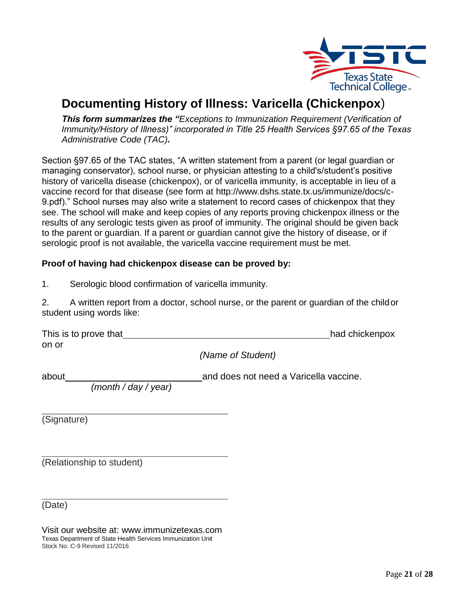

# **Documenting History of Illness: Varicella (Chickenpox**)

*This form summarizes the "Exceptions to Immunization Requirement (Verification of Immunity/History of Illness)" incorporated in Title 25 Health Services §97.65 of the Texas Administrative Code (TAC).*

Section §97.65 of the TAC states, "A written statement from a parent (or legal guardian or managing conservator), school nurse, or physician attesting to a child's/student's positive history of varicella disease (chickenpox), or of varicella immunity, is acceptable in lieu of a vaccine record for that disease (see form at<http://www.dshs.state.tx.us/immunize/docs/c->9.pdf)." School nurses may also write a statement to record cases of chickenpox that they see. The school will make and keep copies of any reports proving chickenpox illness or the results of any serologic tests given as proof of immunity. The original should be given back to the parent or guardian. If a parent or guardian cannot give the history of disease, or if serologic proof is not available, the varicella vaccine requirement must be met.

#### **Proof of having had chickenpox disease can be proved by:**

1. Serologic blood confirmation of varicella immunity.

2. A written report from a doctor, school nurse, or the parent or guardian of the childor student using words like:

| This is to prove that |           | had chickenpox |
|-----------------------|-----------|----------------|
| on or                 | $\lambda$ |                |

*(Name of Student)*

about and does not need a Varicella vaccine.

*(month / day / year)*

(Signature)

(Relationship to student)

(Date)

Visit our website at: [www.immunizetexas.com](http://www.immunizetexas.com/) Texas Department of State Health Services Immunization Unit Stock No. C-9 Revised 11/2016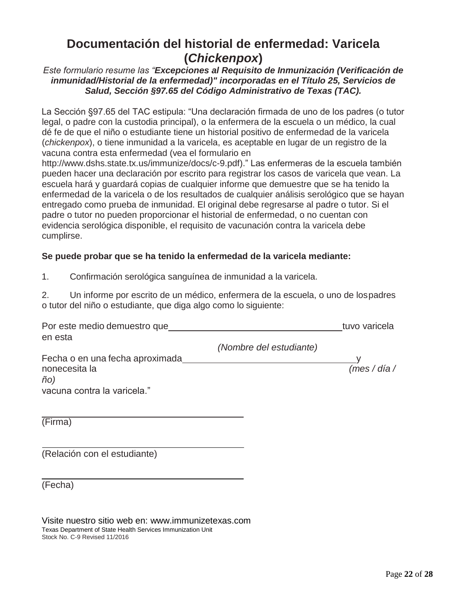# **Documentación del historial de enfermedad: Varicela (***Chickenpox***)**

#### *Este formulario resume las "Excepciones al Requisito de Inmunización (Verificación de inmunidad/Historial de la enfermedad)" incorporadas en el Título 25, Servicios de Salud, Sección §97.65 del Código Administrativo de Texas (TAC).*

La Sección §97.65 del TAC estipula: "Una declaración firmada de uno de los padres (o tutor legal, o padre con la custodia principal), o la enfermera de la escuela o un médico, la cual dé fe de que el niño o estudiante tiene un historial positivo de enfermedad de la varicela (*chickenpox*), o tiene inmunidad a la varicela, es aceptable en lugar de un registro de la vacuna contra esta enfermedad (vea el formulario en

[http://www.dshs.state.tx.us/immunize/docs/c-9.pdf\)."](http://www.dshs.state.tx.us/immunize/docs/c-9.pdf)) Las enfermeras de la escuela también pueden hacer una declaración por escrito para registrar los casos de varicela que vean. La escuela hará y guardará copias de cualquier informe que demuestre que se ha tenido la enfermedad de la varicela o de los resultados de cualquier análisis serológico que se hayan entregado como prueba de inmunidad. El original debe regresarse al padre o tutor. Si el padre o tutor no pueden proporcionar el historial de enfermedad, o no cuentan con evidencia serológica disponible, el requisito de vacunación contra la varicela debe cumplirse.

#### **Se puede probar que se ha tenido la enfermedad de la varicela mediante:**

1. Confirmación serológica sanguínea de inmunidad a la varicela.

2. Un informe por escrito de un médico, enfermera de la escuela, o uno de lospadres o tutor del niño o estudiante, que diga algo como lo siguiente:

| Por este medio demuestro que<br>en esta |                         | tuvo varicela |
|-----------------------------------------|-------------------------|---------------|
|                                         | (Nombre del estudiante) |               |
| Fecha o en una fecha aproximada         |                         |               |
| nonecesita la<br>ño)                    |                         | (mes/dia/     |
| vacuna contra la varicela."             |                         |               |
| (Firma)                                 |                         |               |
| (Relación con el estudiante)            |                         |               |

(Fecha)

Visite nuestro sitio web en: [www.immunizetexas.com](http://www.immunizetexas.com/) Texas Department of State Health Services Immunization Unit Stock No. C-9 Revised 11/2016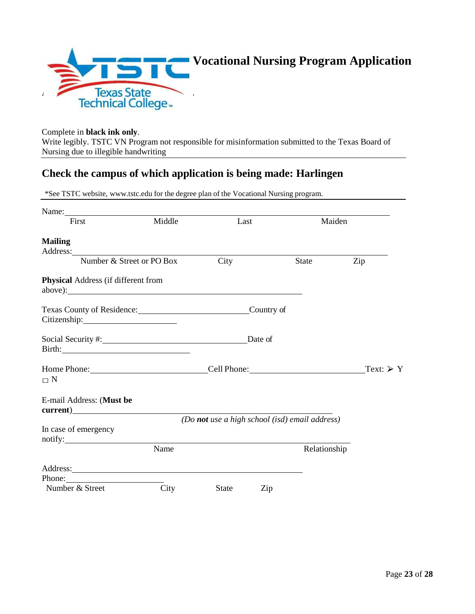

#### Complete in **black ink only**. Write legibly. TSTC VN Program not responsible for misinformation submitted to the Texas Board of Nursing due to illegible handwriting

# **Check the campus of which application is being made: Harlingen**

\*See TSTC website, [www.tstc.edu](http://www.tstc.edu/) for the degree plan of the Vocational Nursing program.

| First                                                                                                                                                                                                                                         | Middle | Last                                           |     | Maiden       |                          |
|-----------------------------------------------------------------------------------------------------------------------------------------------------------------------------------------------------------------------------------------------|--------|------------------------------------------------|-----|--------------|--------------------------|
| <b>Mailing</b>                                                                                                                                                                                                                                |        |                                                |     |              |                          |
| Address: Number & Street or PO Box                                                                                                                                                                                                            |        | City                                           |     | <b>State</b> | Zip                      |
| Physical Address (if different from                                                                                                                                                                                                           |        |                                                |     |              |                          |
| Texas County of Residence: Country of<br>Citizenship: 2000                                                                                                                                                                                    |        |                                                |     |              |                          |
| Birth: 2008 - 2012 - 2012 - 2013 - 2014 - 2015 - 2016 - 2017 - 2018 - 2019 - 2014 - 2016 - 2017 - 2018 - 2019                                                                                                                                 |        |                                                |     |              |                          |
| Home Phone: Cell Phone: Cell Phone:<br>$\Box$ N                                                                                                                                                                                               |        |                                                |     |              | Text: $\triangleright$ Y |
| E-mail Address: (Must be                                                                                                                                                                                                                      |        |                                                |     |              |                          |
| In case of emergency<br>$\text{notify:}\n$                                                                                                                                                                                                    |        | (Do not use a high school (isd) email address) |     |              |                          |
|                                                                                                                                                                                                                                               | Name   |                                                |     | Relationship |                          |
| Address: <u>Address:</u> Address: Address: Address: Address: Address: Address: Address: Address: Address: Address: Address: Address: Address: Address: Address: Address: Address: Address: Address: Address: Address: Address: Addr<br>Phone: |        |                                                |     |              |                          |
| Number & Street                                                                                                                                                                                                                               | City   | <b>State</b>                                   | Zip |              |                          |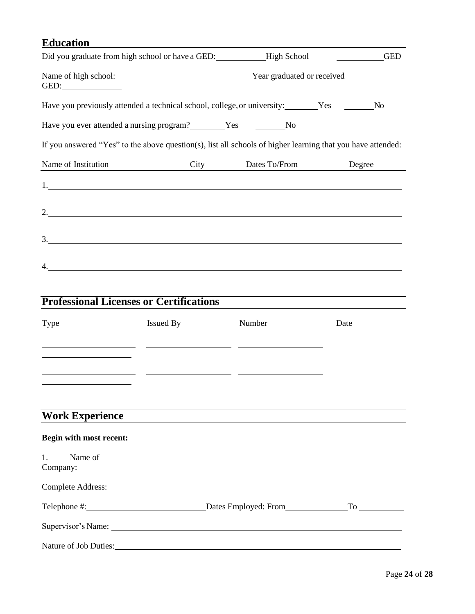# **Education**

|      |                                                             | <b>GED</b>                                                                                                                                                                                                                                                                                                                                                                                                                     |
|------|-------------------------------------------------------------|--------------------------------------------------------------------------------------------------------------------------------------------------------------------------------------------------------------------------------------------------------------------------------------------------------------------------------------------------------------------------------------------------------------------------------|
|      |                                                             |                                                                                                                                                                                                                                                                                                                                                                                                                                |
|      |                                                             | N <sub>0</sub>                                                                                                                                                                                                                                                                                                                                                                                                                 |
|      |                                                             |                                                                                                                                                                                                                                                                                                                                                                                                                                |
|      |                                                             |                                                                                                                                                                                                                                                                                                                                                                                                                                |
| City | Dates To/From                                               | Degree                                                                                                                                                                                                                                                                                                                                                                                                                         |
|      |                                                             |                                                                                                                                                                                                                                                                                                                                                                                                                                |
|      |                                                             |                                                                                                                                                                                                                                                                                                                                                                                                                                |
|      |                                                             |                                                                                                                                                                                                                                                                                                                                                                                                                                |
|      |                                                             |                                                                                                                                                                                                                                                                                                                                                                                                                                |
|      |                                                             |                                                                                                                                                                                                                                                                                                                                                                                                                                |
|      |                                                             |                                                                                                                                                                                                                                                                                                                                                                                                                                |
|      |                                                             |                                                                                                                                                                                                                                                                                                                                                                                                                                |
|      | Number                                                      | Date                                                                                                                                                                                                                                                                                                                                                                                                                           |
|      |                                                             |                                                                                                                                                                                                                                                                                                                                                                                                                                |
|      |                                                             |                                                                                                                                                                                                                                                                                                                                                                                                                                |
|      |                                                             |                                                                                                                                                                                                                                                                                                                                                                                                                                |
|      | <b>Professional Licenses or Certifications</b><br>Issued By | Did you graduate from high school or have a GED: ____________High School<br>Name of high school: Vear graduated or received<br>Have you previously attended a technical school, college, or university: Yes Yes<br>Have you ever attended a nursing program? Ves No<br>If you answered "Yes" to the above question(s), list all schools of higher learning that you have attended:<br>2. $\overline{\phantom{a}1}$<br>3.<br>4. |

# **Work Experience**

| Begin with most recent:         |  |
|---------------------------------|--|
| 1. Name of<br>Company: Company: |  |
|                                 |  |
|                                 |  |
|                                 |  |
| Nature of Job Duties:           |  |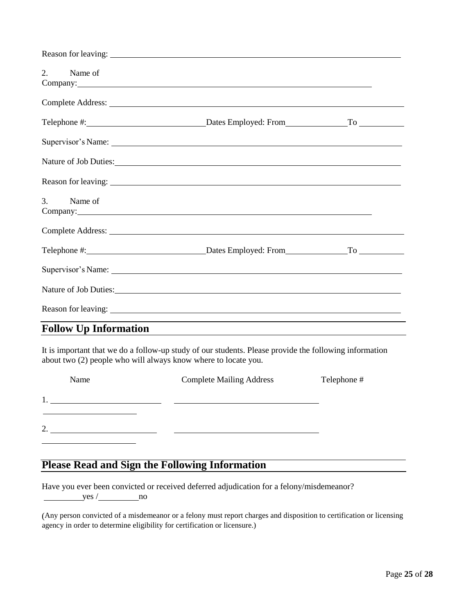| 2. Name of                                                                                                                                                                                                                                   |                                                             |  |
|----------------------------------------------------------------------------------------------------------------------------------------------------------------------------------------------------------------------------------------------|-------------------------------------------------------------|--|
|                                                                                                                                                                                                                                              |                                                             |  |
|                                                                                                                                                                                                                                              |                                                             |  |
|                                                                                                                                                                                                                                              |                                                             |  |
| Nature of Job Duties: 1988 and 2008 and 2008 and 2008 and 2008 and 2008 and 2008 and 2008 and 2008 and 2008 and 2008 and 2008 and 2008 and 2008 and 2008 and 2008 and 2008 and 2008 and 2008 and 2008 and 2008 and 2008 and 20               |                                                             |  |
|                                                                                                                                                                                                                                              |                                                             |  |
| 3. Name of<br>Company: Note of the Company of the Company of the Company of the Company of the Company of the Company of the Company of the Company of the Company of the Company of the Company of the Company of the Company of the Compan |                                                             |  |
|                                                                                                                                                                                                                                              |                                                             |  |
|                                                                                                                                                                                                                                              |                                                             |  |
|                                                                                                                                                                                                                                              |                                                             |  |
| Nature of Job Duties: 1988.                                                                                                                                                                                                                  |                                                             |  |
|                                                                                                                                                                                                                                              |                                                             |  |
| <b>Follow Up Information</b>                                                                                                                                                                                                                 | <u> 1989 - Johann Stoff, amerikansk politiker (d. 1989)</u> |  |

It is important that we do a follow-up study of our students. Please provide the following information about two (2) people who will always know where to locate you.

| Name           | <b>Complete Mailing Address</b> | Telephone # |
|----------------|---------------------------------|-------------|
|                |                                 |             |
| $\gamma$<br>٠. |                                 |             |
|                |                                 |             |

# **Please Read and Sign the Following Information**

Have you ever been convicted or received deferred adjudication for a felony/misdemeanor?  $yes /$  no

(Any person convicted of a misdemeanor or a felony must report charges and disposition to certification or licensing agency in order to determine eligibility for certification or licensure.)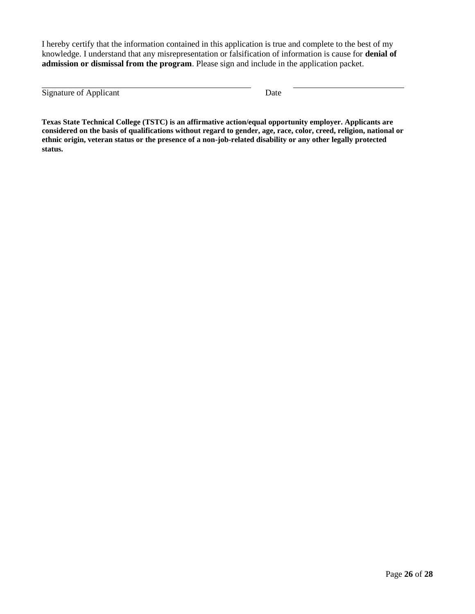I hereby certify that the information contained in this application is true and complete to the best of my knowledge. I understand that any misrepresentation or falsification of information is cause for **denial of admission or dismissal from the program**. Please sign and include in the application packet.

Signature of Applicant Date

**Texas State Technical College (TSTC) is an affirmative action/equal opportunity employer. Applicants are considered on the basis of qualifications without regard to gender, age, race, color, creed, religion, national or ethnic origin, veteran status or the presence of a non-job-related disability or any other legally protected status.**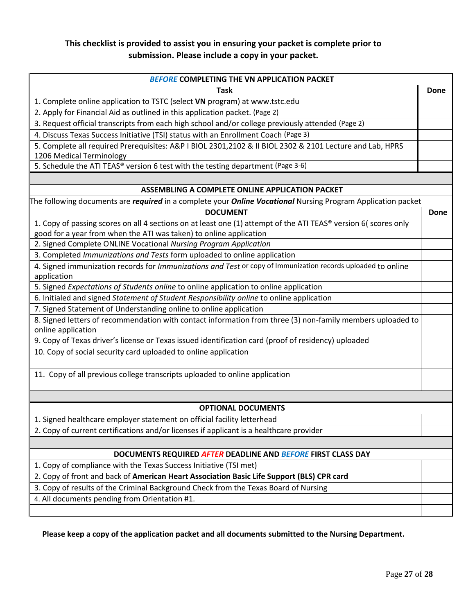# **This checklist is provided to assist you in ensuring your packet is complete prior to submission. Please include a copy in your packet.**

| <b>BEFORE COMPLETING THE VN APPLICATION PACKET</b>                                                                                   |      |
|--------------------------------------------------------------------------------------------------------------------------------------|------|
| <b>Task</b>                                                                                                                          | Done |
| 1. Complete online application to TSTC (select VN program) at www.tstc.edu                                                           |      |
| 2. Apply for Financial Aid as outlined in this application packet. (Page 2)                                                          |      |
| 3. Request official transcripts from each high school and/or college previously attended (Page 2)                                    |      |
|                                                                                                                                      |      |
| 4. Discuss Texas Success Initiative (TSI) status with an Enrollment Coach (Page 3)                                                   |      |
| 5. Complete all required Prerequisites: A&P I BIOL 2301,2102 & II BIOL 2302 & 2101 Lecture and Lab, HPRS<br>1206 Medical Terminology |      |
| 5. Schedule the ATI TEAS® version 6 test with the testing department (Page 3-6)                                                      |      |
|                                                                                                                                      |      |
| ASSEMBLING A COMPLETE ONLINE APPLICATION PACKET                                                                                      |      |
| The following documents are <i>required</i> in a complete your <i>Online Vocational</i> Nursing Program Application packet           |      |
| <b>DOCUMENT</b>                                                                                                                      | Done |
| 1. Copy of passing scores on all 4 sections on at least one (1) attempt of the ATI TEAS® version 6( scores only                      |      |
| good for a year from when the ATI was taken) to online application                                                                   |      |
| 2. Signed Complete ONLINE Vocational Nursing Program Application                                                                     |      |
| 3. Completed Immunizations and Tests form uploaded to online application                                                             |      |
| 4. Signed immunization records for Immunizations and Test or copy of Immunization records uploaded to online                         |      |
| application                                                                                                                          |      |
| 5. Signed Expectations of Students online to online application to online application                                                |      |
| 6. Initialed and signed Statement of Student Responsibility online to online application                                             |      |
| 7. Signed Statement of Understanding online to online application                                                                    |      |
| 8. Signed letters of recommendation with contact information from three (3) non-family members uploaded to                           |      |
| online application                                                                                                                   |      |
| 9. Copy of Texas driver's license or Texas issued identification card (proof of residency) uploaded                                  |      |
| 10. Copy of social security card uploaded to online application                                                                      |      |
|                                                                                                                                      |      |
| 11. Copy of all previous college transcripts uploaded to online application                                                          |      |
|                                                                                                                                      |      |
| <b>OPTIONAL DOCUMENTS</b>                                                                                                            |      |
| 1. Signed healthcare employer statement on official facility letterhead                                                              |      |
| 2. Copy of current certifications and/or licenses if applicant is a healthcare provider                                              |      |
|                                                                                                                                      |      |
| DOCUMENTS REQUIRED AFTER DEADLINE AND BEFORE FIRST CLASS DAY                                                                         |      |
| 1. Copy of compliance with the Texas Success Initiative (TSI met)                                                                    |      |
| 2. Copy of front and back of American Heart Association Basic Life Support (BLS) CPR card                                            |      |
| 3. Copy of results of the Criminal Background Check from the Texas Board of Nursing                                                  |      |
| 4. All documents pending from Orientation #1.                                                                                        |      |
|                                                                                                                                      |      |
|                                                                                                                                      |      |

**Please keep a copy of the application packet and all documents submitted to the Nursing Department.**